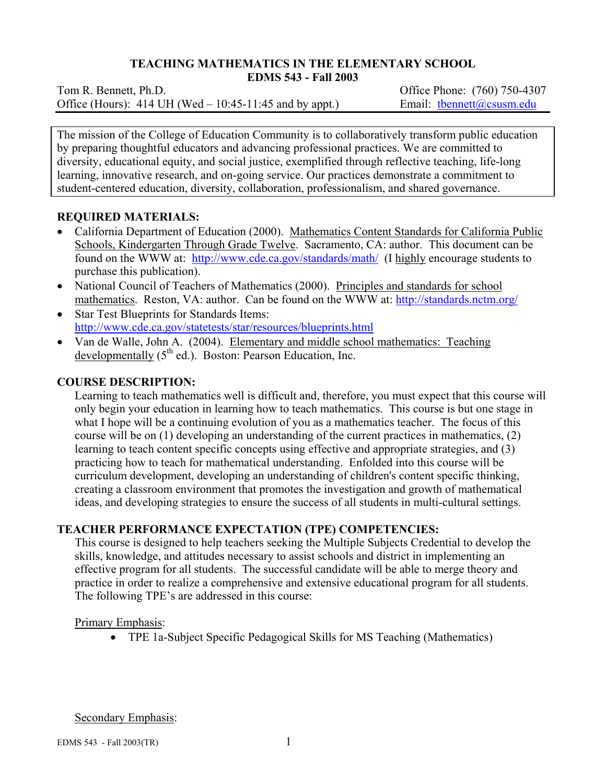# **TEACHING MATHEMATICS IN THE ELEMENTARY SCHOOL**

**EDMS 543 - Fall 2003** 

Tom R. Bennett, Ph.D. *Commercial Contract Contract Contract Contract Contract Contract Contract Contract Contract Contract Contract Contract Contract Contract Contract Contract Contract Contract Contract Contract Contrac* Office (Hours): 414 UH (Wed – 10:45-11:45 and by appt.) Email: then ett $(\partial \cos \theta)$  edu

The mission of the College of Education Community is to collaboratively transform public education by preparing thoughtful educators and advancing professional practices. We are committed to diversity, educational equity, and social justice, exemplified through reflective teaching, life-long learning, innovative research, and on-going service. Our practices demonstrate a commitment to student-centered education, diversity, collaboration, professionalism, and shared governance.

## **REQUIRED MATERIALS:**

- California Department of Education (2000). Mathematics Content Standards for California Public Schools, Kindergarten Through Grade Twelve. Sacramento, CA: author. This document can be found on the WWW at: http://www.cde.ca.gov/standards/math/ (I highly encourage students to purchase this publication).
- National Council of Teachers of Mathematics (2000). Principles and standards for school mathematics. Reston, VA: author. Can be found on the WWW at: http://standards.nctm.org/
- Star Test Blueprints for Standards Items: http://www.cde.ca.gov/statetests/star/resources/blueprints.html
- Van de Walle, John A. (2004). Elementary and middle school mathematics: Teaching developmentally  $(5^{th}$  ed.). Boston: Pearson Education, Inc.

## **COURSE DESCRIPTION:**

Learning to teach mathematics well is difficult and, therefore, you must expect that this course will only begin your education in learning how to teach mathematics. This course is but one stage in what I hope will be a continuing evolution of you as a mathematics teacher. The focus of this course will be on (1) developing an understanding of the current practices in mathematics, (2) learning to teach content specific concepts using effective and appropriate strategies, and (3) practicing how to teach for mathematical understanding. Enfolded into this course will be curriculum development, developing an understanding of children's content specific thinking, creating a classroom environment that promotes the investigation and growth of mathematical ideas, and developing strategies to ensure the success of all students in multi-cultural settings.

# **TEACHER PERFORMANCE EXPECTATION (TPE) COMPETENCIES:**

This course is designed to help teachers seeking the Multiple Subjects Credential to develop the skills, knowledge, and attitudes necessary to assist schools and district in implementing an effective program for all students. The successful candidate will be able to merge theory and practice in order to realize a comprehensive and extensive educational program for all students. The following TPE's are addressed in this course:

Primary Emphasis:

• TPE 1a-Subject Specific Pedagogical Skills for MS Teaching (Mathematics)

Secondary Emphasis: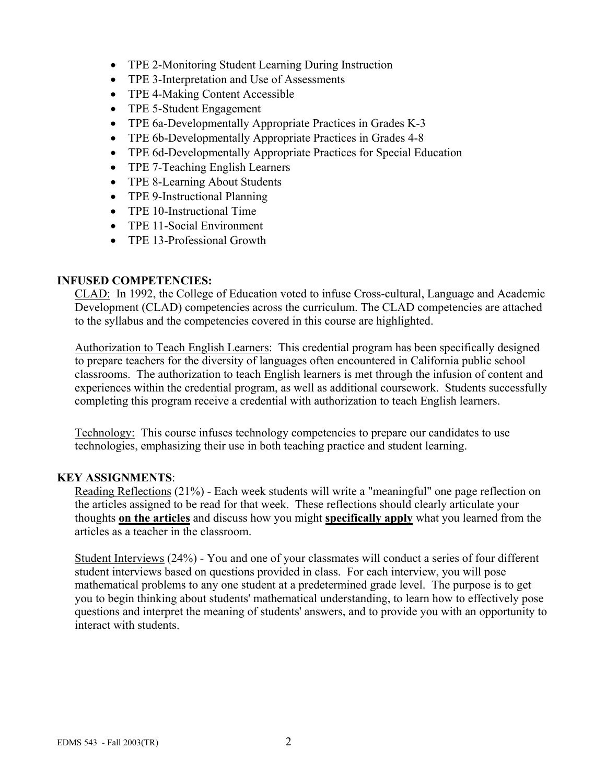- TPE 2-Monitoring Student Learning During Instruction
- TPE 3-Interpretation and Use of Assessments
- TPE 4-Making Content Accessible
- TPE 5-Student Engagement
- TPE 6a-Developmentally Appropriate Practices in Grades K-3
- TPE 6b-Developmentally Appropriate Practices in Grades 4-8
- TPE 6d-Developmentally Appropriate Practices for Special Education
- TPE 7-Teaching English Learners
- TPE 8-Learning About Students
- TPE 9-Instructional Planning
- TPE 10-Instructional Time
- TPE 11-Social Environment
- TPE 13-Professional Growth

## **INFUSED COMPETENCIES:**

CLAD: In 1992, the College of Education voted to infuse Cross-cultural, Language and Academic Development (CLAD) competencies across the curriculum. The CLAD competencies are attached to the syllabus and the competencies covered in this course are highlighted.

Authorization to Teach English Learners: This credential program has been specifically designed to prepare teachers for the diversity of languages often encountered in California public school classrooms. The authorization to teach English learners is met through the infusion of content and experiences within the credential program, as well as additional coursework. Students successfully completing this program receive a credential with authorization to teach English learners.

Technology: This course infuses technology competencies to prepare our candidates to use technologies, emphasizing their use in both teaching practice and student learning.

### **KEY ASSIGNMENTS**:

Reading Reflections (21%) - Each week students will write a "meaningful" one page reflection on the articles assigned to be read for that week. These reflections should clearly articulate your thoughts **on the articles** and discuss how you might **specifically apply** what you learned from the articles as a teacher in the classroom.

Student Interviews (24%) - You and one of your classmates will conduct a series of four different student interviews based on questions provided in class. For each interview, you will pose mathematical problems to any one student at a predetermined grade level. The purpose is to get you to begin thinking about students' mathematical understanding, to learn how to effectively pose questions and interpret the meaning of students' answers, and to provide you with an opportunity to interact with students.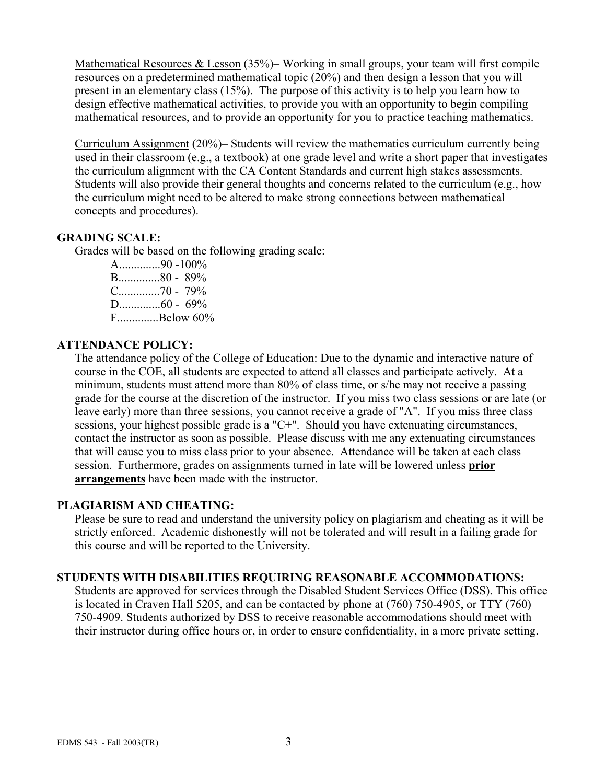Mathematical Resources & Lesson (35%)– Working in small groups, your team will first compile resources on a predetermined mathematical topic (20%) and then design a lesson that you will present in an elementary class (15%). The purpose of this activity is to help you learn how to design effective mathematical activities, to provide you with an opportunity to begin compiling mathematical resources, and to provide an opportunity for you to practice teaching mathematics.

Curriculum Assignment (20%)– Students will review the mathematics curriculum currently being used in their classroom (e.g., a textbook) at one grade level and write a short paper that investigates the curriculum alignment with the CA Content Standards and current high stakes assessments. Students will also provide their general thoughts and concerns related to the curriculum (e.g., how the curriculum might need to be altered to make strong connections between mathematical concepts and procedures).

### **GRADING SCALE:**

Grades will be based on the following grading scale:

A..............90 -100% B..............80 - 89% C..............70 - 79% D..............60 - 69% F..............Below 60%

## **ATTENDANCE POLICY:**

The attendance policy of the College of Education: Due to the dynamic and interactive nature of course in the COE, all students are expected to attend all classes and participate actively. At a minimum, students must attend more than 80% of class time, or s/he may not receive a passing grade for the course at the discretion of the instructor. If you miss two class sessions or are late (or leave early) more than three sessions, you cannot receive a grade of "A". If you miss three class sessions, your highest possible grade is a "C+". Should you have extenuating circumstances, contact the instructor as soon as possible. Please discuss with me any extenuating circumstances that will cause you to miss class prior to your absence. Attendance will be taken at each class session. Furthermore, grades on assignments turned in late will be lowered unless **prior arrangements** have been made with the instructor.

### **PLAGIARISM AND CHEATING:**

Please be sure to read and understand the university policy on plagiarism and cheating as it will be strictly enforced. Academic dishonestly will not be tolerated and will result in a failing grade for this course and will be reported to the University.

### **STUDENTS WITH DISABILITIES REQUIRING REASONABLE ACCOMMODATIONS:**

Students are approved for services through the Disabled Student Services Office (DSS). This office is located in Craven Hall 5205, and can be contacted by phone at (760) 750-4905, or TTY (760) 750-4909. Students authorized by DSS to receive reasonable accommodations should meet with their instructor during office hours or, in order to ensure confidentiality, in a more private setting.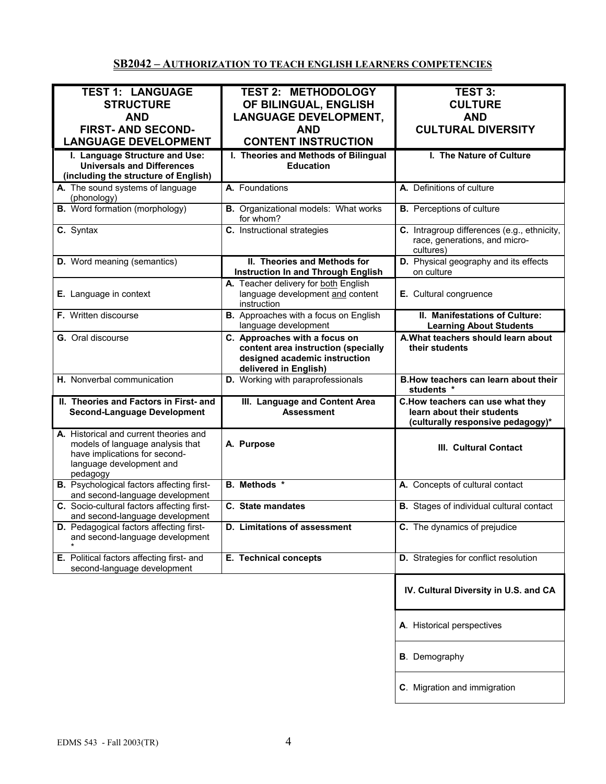# **SB2042 – AUTHORIZATION TO TEACH ENGLISH LEARNERS COMPETENCIES**

| <b>TEST 1: LANGUAGE</b>                                                                                                                             | <b>TEST 2: METHODOLOGY</b>                                                                                                     | <b>TEST 3:</b>                                                                                      |
|-----------------------------------------------------------------------------------------------------------------------------------------------------|--------------------------------------------------------------------------------------------------------------------------------|-----------------------------------------------------------------------------------------------------|
| <b>STRUCTURE</b>                                                                                                                                    |                                                                                                                                | <b>CULTURE</b>                                                                                      |
|                                                                                                                                                     | OF BILINGUAL, ENGLISH                                                                                                          |                                                                                                     |
| <b>AND</b>                                                                                                                                          | <b>LANGUAGE DEVELOPMENT,</b>                                                                                                   | <b>AND</b>                                                                                          |
| <b>FIRST- AND SECOND-</b>                                                                                                                           | <b>AND</b>                                                                                                                     | <b>CULTURAL DIVERSITY</b>                                                                           |
| <b>LANGUAGE DEVELOPMENT</b>                                                                                                                         | <b>CONTENT INSTRUCTION</b>                                                                                                     |                                                                                                     |
| I. Language Structure and Use:                                                                                                                      | I. Theories and Methods of Bilingual                                                                                           | I. The Nature of Culture                                                                            |
| <b>Universals and Differences</b>                                                                                                                   | <b>Education</b>                                                                                                               |                                                                                                     |
| (including the structure of English)                                                                                                                |                                                                                                                                |                                                                                                     |
| A. The sound systems of language                                                                                                                    | A. Foundations                                                                                                                 | A. Definitions of culture                                                                           |
| (phonology)                                                                                                                                         |                                                                                                                                |                                                                                                     |
| <b>B.</b> Word formation (morphology)                                                                                                               | <b>B.</b> Organizational models: What works<br>for whom?                                                                       | <b>B.</b> Perceptions of culture                                                                    |
| C. Syntax                                                                                                                                           | C. Instructional strategies                                                                                                    | C. Intragroup differences (e.g., ethnicity,<br>race, generations, and micro-<br>cultures)           |
| <b>D.</b> Word meaning (semantics)                                                                                                                  | II. Theories and Methods for<br><b>Instruction In and Through English</b>                                                      | D. Physical geography and its effects<br>on culture                                                 |
| E. Language in context                                                                                                                              | A. Teacher delivery for both English<br>language development and content<br>instruction                                        | E. Cultural congruence                                                                              |
| F. Written discourse                                                                                                                                | B. Approaches with a focus on English<br>language development                                                                  | II. Manifestations of Culture:<br><b>Learning About Students</b>                                    |
| G. Oral discourse                                                                                                                                   | C. Approaches with a focus on<br>content area instruction (specially<br>designed academic instruction<br>delivered in English) | A. What teachers should learn about<br>their students                                               |
| H. Nonverbal communication                                                                                                                          | D. Working with paraprofessionals                                                                                              | B. How teachers can learn about their<br>students *                                                 |
| II. Theories and Factors in First- and<br><b>Second-Language Development</b>                                                                        | III. Language and Content Area<br><b>Assessment</b>                                                                            | C.How teachers can use what they<br>learn about their students<br>(culturally responsive pedagogy)* |
| A. Historical and current theories and<br>models of language analysis that<br>have implications for second-<br>language development and<br>pedagogy | A. Purpose                                                                                                                     | III. Cultural Contact                                                                               |
| <b>B.</b> Psychological factors affecting first-<br>and second-language development                                                                 | <b>B.</b> Methods *                                                                                                            | A. Concepts of cultural contact                                                                     |
| C. Socio-cultural factors affecting first-<br>and second-language development                                                                       | C. State mandates                                                                                                              | <b>B.</b> Stages of individual cultural contact                                                     |
| D. Pedagogical factors affecting first-<br>and second-language development                                                                          | <b>D.</b> Limitations of assessment                                                                                            | C. The dynamics of prejudice                                                                        |
| E. Political factors affecting first- and<br>second-language development                                                                            | E. Technical concepts                                                                                                          | D. Strategies for conflict resolution                                                               |
|                                                                                                                                                     |                                                                                                                                | IV. Cultural Diversity in U.S. and CA                                                               |
|                                                                                                                                                     |                                                                                                                                | A. Historical perspectives                                                                          |
|                                                                                                                                                     |                                                                                                                                | <b>B</b> . Demography                                                                               |
|                                                                                                                                                     |                                                                                                                                | C. Migration and immigration                                                                        |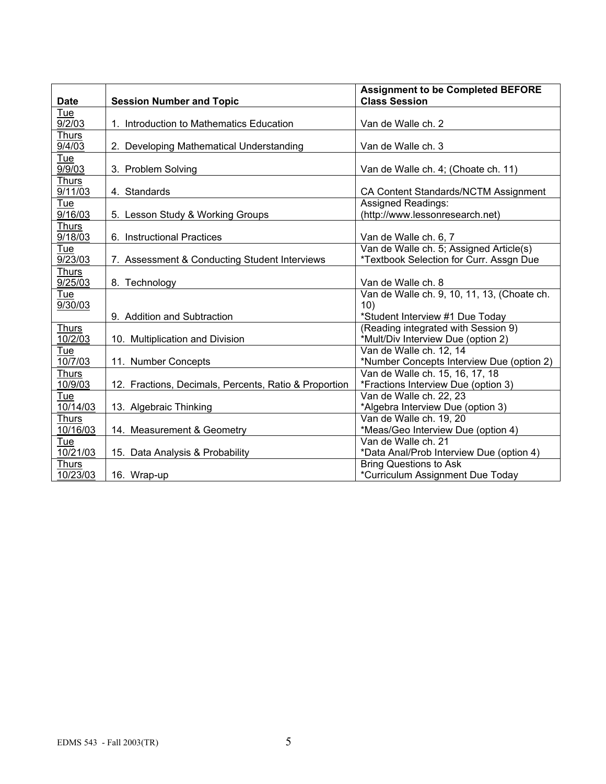|                         |                                                       | <b>Assignment to be Completed BEFORE</b>    |
|-------------------------|-------------------------------------------------------|---------------------------------------------|
| <b>Date</b>             | <b>Session Number and Topic</b>                       | <b>Class Session</b>                        |
| Tue<br>9/2/03           | 1. Introduction to Mathematics Education              | Van de Walle ch. 2                          |
| <b>Thurs</b>            |                                                       |                                             |
| 9/4/03                  | 2. Developing Mathematical Understanding              | Van de Walle ch. 3                          |
| <u>Tue</u>              |                                                       |                                             |
| 9/9/03                  | 3. Problem Solving                                    | Van de Walle ch. 4; (Choate ch. 11)         |
| <b>Thurs</b><br>9/11/03 | 4. Standards                                          | CA Content Standards/NCTM Assignment        |
| Tue                     |                                                       | <b>Assigned Readings:</b>                   |
| 9/16/03                 | 5. Lesson Study & Working Groups                      | (http://www.lessonresearch.net)             |
| <b>Thurs</b>            |                                                       |                                             |
| 9/18/03                 | 6. Instructional Practices                            | Van de Walle ch. 6, 7                       |
| Tue                     |                                                       | Van de Walle ch. 5; Assigned Article(s)     |
| 9/23/03                 | 7. Assessment & Conducting Student Interviews         | *Textbook Selection for Curr. Assgn Due     |
| Thurs                   |                                                       |                                             |
| 9/25/03                 | 8. Technology                                         | Van de Walle ch. 8                          |
| Tue                     |                                                       | Van de Walle ch. 9, 10, 11, 13, (Choate ch. |
| 9/30/03                 |                                                       | 10)                                         |
|                         | 9. Addition and Subtraction                           | *Student Interview #1 Due Today             |
| <b>Thurs</b>            |                                                       | (Reading integrated with Session 9)         |
| 10/2/03                 | 10. Multiplication and Division                       | *Mult/Div Interview Due (option 2)          |
| Tue                     |                                                       | Van de Walle ch. 12, 14                     |
| 10/7/03                 | 11. Number Concepts                                   | *Number Concepts Interview Due (option 2)   |
| Thurs                   |                                                       | Van de Walle ch. 15, 16, 17, 18             |
| 10/9/03                 | 12. Fractions, Decimals, Percents, Ratio & Proportion | *Fractions Interview Due (option 3)         |
| Tue                     |                                                       | Van de Walle ch. 22, 23                     |
| 10/14/03                | 13. Algebraic Thinking                                | *Algebra Interview Due (option 3)           |
| Thurs                   |                                                       | Van de Walle ch. 19, 20                     |
| 10/16/03                | 14. Measurement & Geometry                            | *Meas/Geo Interview Due (option 4)          |
| Tue                     |                                                       | Van de Walle ch. 21                         |
| 10/21/03                | 15. Data Analysis & Probability                       | *Data Anal/Prob Interview Due (option 4)    |
| <b>Thurs</b>            |                                                       | <b>Bring Questions to Ask</b>               |
| 10/23/03                | 16. Wrap-up                                           | *Curriculum Assignment Due Today            |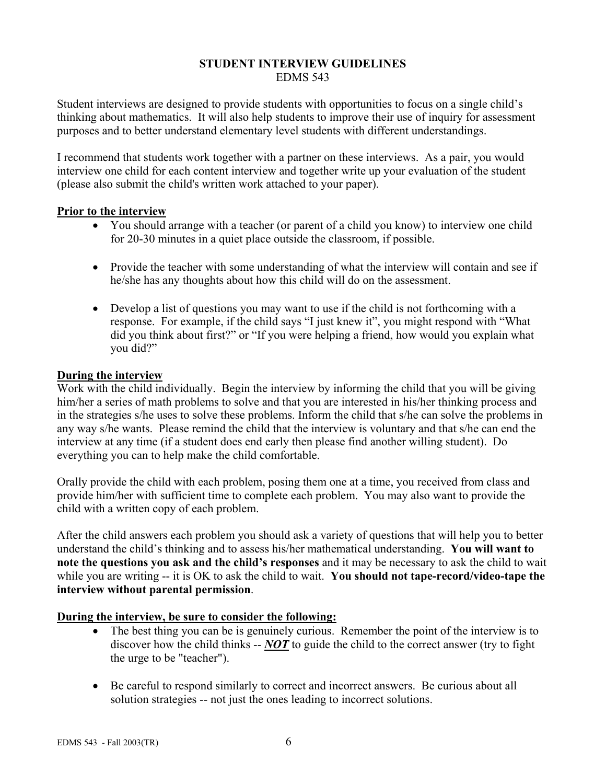#### **STUDENT INTERVIEW GUIDELINES**  EDMS 543

Student interviews are designed to provide students with opportunities to focus on a single child's thinking about mathematics. It will also help students to improve their use of inquiry for assessment purposes and to better understand elementary level students with different understandings.

I recommend that students work together with a partner on these interviews. As a pair, you would interview one child for each content interview and together write up your evaluation of the student (please also submit the child's written work attached to your paper).

## **Prior to the interview**

- You should arrange with a teacher (or parent of a child you know) to interview one child for 20-30 minutes in a quiet place outside the classroom, if possible.
- Provide the teacher with some understanding of what the interview will contain and see if he/she has any thoughts about how this child will do on the assessment.
- Develop a list of questions you may want to use if the child is not forthcoming with a response. For example, if the child says "I just knew it", you might respond with "What did you think about first?" or "If you were helping a friend, how would you explain what you did?"

## **During the interview**

Work with the child individually. Begin the interview by informing the child that you will be giving him/her a series of math problems to solve and that you are interested in his/her thinking process and in the strategies s/he uses to solve these problems. Inform the child that s/he can solve the problems in any way s/he wants. Please remind the child that the interview is voluntary and that s/he can end the interview at any time (if a student does end early then please find another willing student). Do everything you can to help make the child comfortable.

Orally provide the child with each problem, posing them one at a time, you received from class and provide him/her with sufficient time to complete each problem. You may also want to provide the child with a written copy of each problem.

After the child answers each problem you should ask a variety of questions that will help you to better understand the child's thinking and to assess his/her mathematical understanding. **You will want to note the questions you ask and the child's responses** and it may be necessary to ask the child to wait while you are writing -- it is OK to ask the child to wait. **You should not tape-record/video-tape the interview without parental permission**.

# **During the interview, be sure to consider the following:**

- The best thing you can be is genuinely curious. Remember the point of the interview is to discover how the child thinks -- *NOT* to guide the child to the correct answer (try to fight the urge to be "teacher").
- Be careful to respond similarly to correct and incorrect answers. Be curious about all solution strategies -- not just the ones leading to incorrect solutions.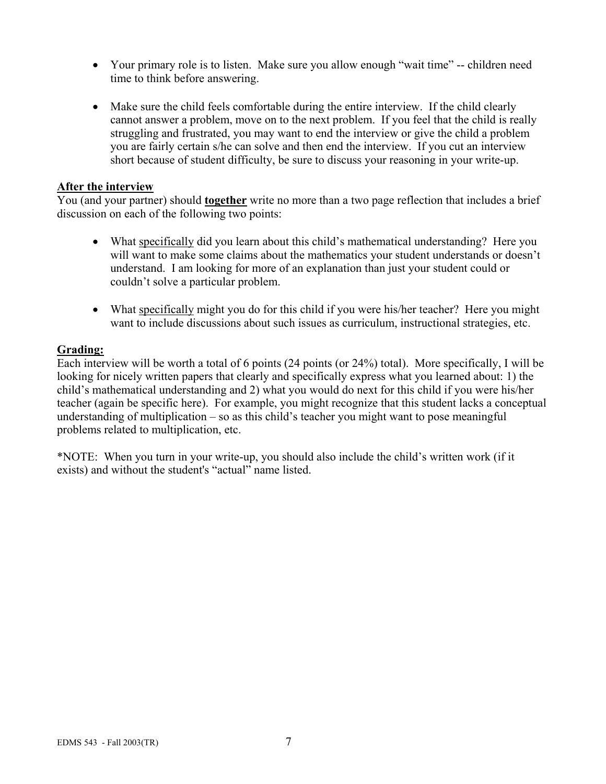- Your primary role is to listen. Make sure you allow enough "wait time" -- children need time to think before answering.
- Make sure the child feels comfortable during the entire interview. If the child clearly cannot answer a problem, move on to the next problem. If you feel that the child is really struggling and frustrated, you may want to end the interview or give the child a problem you are fairly certain s/he can solve and then end the interview. If you cut an interview short because of student difficulty, be sure to discuss your reasoning in your write-up.

#### **After the interview**

You (and your partner) should **together** write no more than a two page reflection that includes a brief discussion on each of the following two points:

- What specifically did you learn about this child's mathematical understanding? Here you will want to make some claims about the mathematics your student understands or doesn't understand. I am looking for more of an explanation than just your student could or couldn't solve a particular problem.
- What specifically might you do for this child if you were his/her teacher? Here you might want to include discussions about such issues as curriculum, instructional strategies, etc.

### **Grading:**

Each interview will be worth a total of 6 points (24 points (or 24%) total). More specifically, I will be looking for nicely written papers that clearly and specifically express what you learned about: 1) the child's mathematical understanding and 2) what you would do next for this child if you were his/her teacher (again be specific here). For example, you might recognize that this student lacks a conceptual understanding of multiplication – so as this child's teacher you might want to pose meaningful problems related to multiplication, etc.

\*NOTE: When you turn in your write-up, you should also include the child's written work (if it exists) and without the student's "actual" name listed.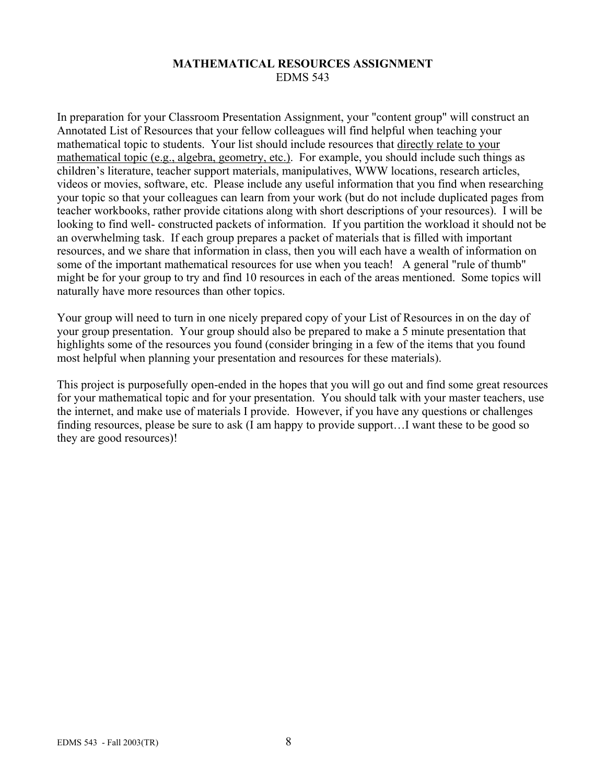### **MATHEMATICAL RESOURCES ASSIGNMENT**  EDMS 543

In preparation for your Classroom Presentation Assignment, your "content group" will construct an Annotated List of Resources that your fellow colleagues will find helpful when teaching your mathematical topic to students. Your list should include resources that directly relate to your mathematical topic (e.g., algebra, geometry, etc.). For example, you should include such things as children's literature, teacher support materials, manipulatives, WWW locations, research articles, videos or movies, software, etc. Please include any useful information that you find when researching your topic so that your colleagues can learn from your work (but do not include duplicated pages from teacher workbooks, rather provide citations along with short descriptions of your resources). I will be looking to find well- constructed packets of information. If you partition the workload it should not be an overwhelming task. If each group prepares a packet of materials that is filled with important resources, and we share that information in class, then you will each have a wealth of information on some of the important mathematical resources for use when you teach! A general "rule of thumb" might be for your group to try and find 10 resources in each of the areas mentioned. Some topics will naturally have more resources than other topics.

Your group will need to turn in one nicely prepared copy of your List of Resources in on the day of your group presentation. Your group should also be prepared to make a 5 minute presentation that highlights some of the resources you found (consider bringing in a few of the items that you found most helpful when planning your presentation and resources for these materials).

This project is purposefully open-ended in the hopes that you will go out and find some great resources for your mathematical topic and for your presentation. You should talk with your master teachers, use the internet, and make use of materials I provide. However, if you have any questions or challenges finding resources, please be sure to ask (I am happy to provide support…I want these to be good so they are good resources)!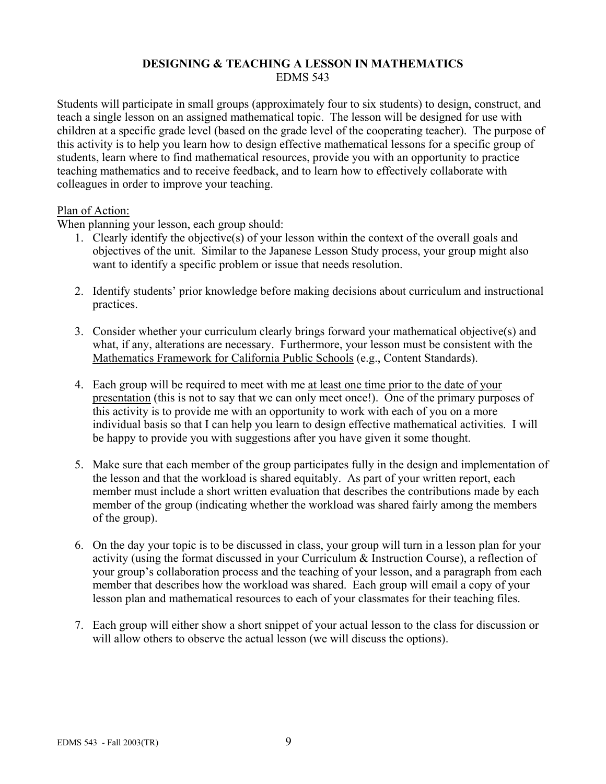## **DESIGNING & TEACHING A LESSON IN MATHEMATICS**  EDMS 543

Students will participate in small groups (approximately four to six students) to design, construct, and teach a single lesson on an assigned mathematical topic. The lesson will be designed for use with children at a specific grade level (based on the grade level of the cooperating teacher). The purpose of this activity is to help you learn how to design effective mathematical lessons for a specific group of students, learn where to find mathematical resources, provide you with an opportunity to practice teaching mathematics and to receive feedback, and to learn how to effectively collaborate with colleagues in order to improve your teaching.

### Plan of Action:

When planning your lesson, each group should:

- 1. Clearly identify the objective(s) of your lesson within the context of the overall goals and objectives of the unit. Similar to the Japanese Lesson Study process, your group might also want to identify a specific problem or issue that needs resolution.
- 2. Identify students' prior knowledge before making decisions about curriculum and instructional practices.
- 3. Consider whether your curriculum clearly brings forward your mathematical objective(s) and what, if any, alterations are necessary. Furthermore, your lesson must be consistent with the Mathematics Framework for California Public Schools (e.g., Content Standards).
- 4. Each group will be required to meet with me at least one time prior to the date of your presentation (this is not to say that we can only meet once!). One of the primary purposes of this activity is to provide me with an opportunity to work with each of you on a more individual basis so that I can help you learn to design effective mathematical activities. I will be happy to provide you with suggestions after you have given it some thought.
- 5. Make sure that each member of the group participates fully in the design and implementation of the lesson and that the workload is shared equitably. As part of your written report, each member must include a short written evaluation that describes the contributions made by each member of the group (indicating whether the workload was shared fairly among the members of the group).
- 6. On the day your topic is to be discussed in class, your group will turn in a lesson plan for your activity (using the format discussed in your Curriculum & Instruction Course), a reflection of your group's collaboration process and the teaching of your lesson, and a paragraph from each member that describes how the workload was shared. Each group will email a copy of your lesson plan and mathematical resources to each of your classmates for their teaching files.
- 7. Each group will either show a short snippet of your actual lesson to the class for discussion or will allow others to observe the actual lesson (we will discuss the options).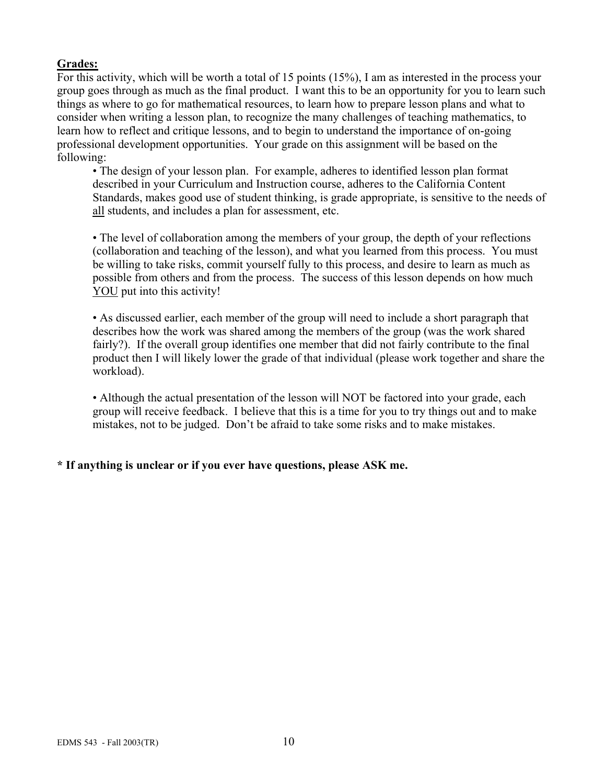# **Grades:**

For this activity, which will be worth a total of 15 points (15%), I am as interested in the process your group goes through as much as the final product. I want this to be an opportunity for you to learn such things as where to go for mathematical resources, to learn how to prepare lesson plans and what to consider when writing a lesson plan, to recognize the many challenges of teaching mathematics, to learn how to reflect and critique lessons, and to begin to understand the importance of on-going professional development opportunities. Your grade on this assignment will be based on the following:

• The design of your lesson plan. For example, adheres to identified lesson plan format described in your Curriculum and Instruction course, adheres to the California Content Standards, makes good use of student thinking, is grade appropriate, is sensitive to the needs of all students, and includes a plan for assessment, etc.

• The level of collaboration among the members of your group, the depth of your reflections (collaboration and teaching of the lesson), and what you learned from this process. You must be willing to take risks, commit yourself fully to this process, and desire to learn as much as possible from others and from the process. The success of this lesson depends on how much YOU put into this activity!

• As discussed earlier, each member of the group will need to include a short paragraph that describes how the work was shared among the members of the group (was the work shared fairly?). If the overall group identifies one member that did not fairly contribute to the final product then I will likely lower the grade of that individual (please work together and share the workload).

• Although the actual presentation of the lesson will NOT be factored into your grade, each group will receive feedback. I believe that this is a time for you to try things out and to make mistakes, not to be judged. Don't be afraid to take some risks and to make mistakes.

# **\* If anything is unclear or if you ever have questions, please ASK me.**